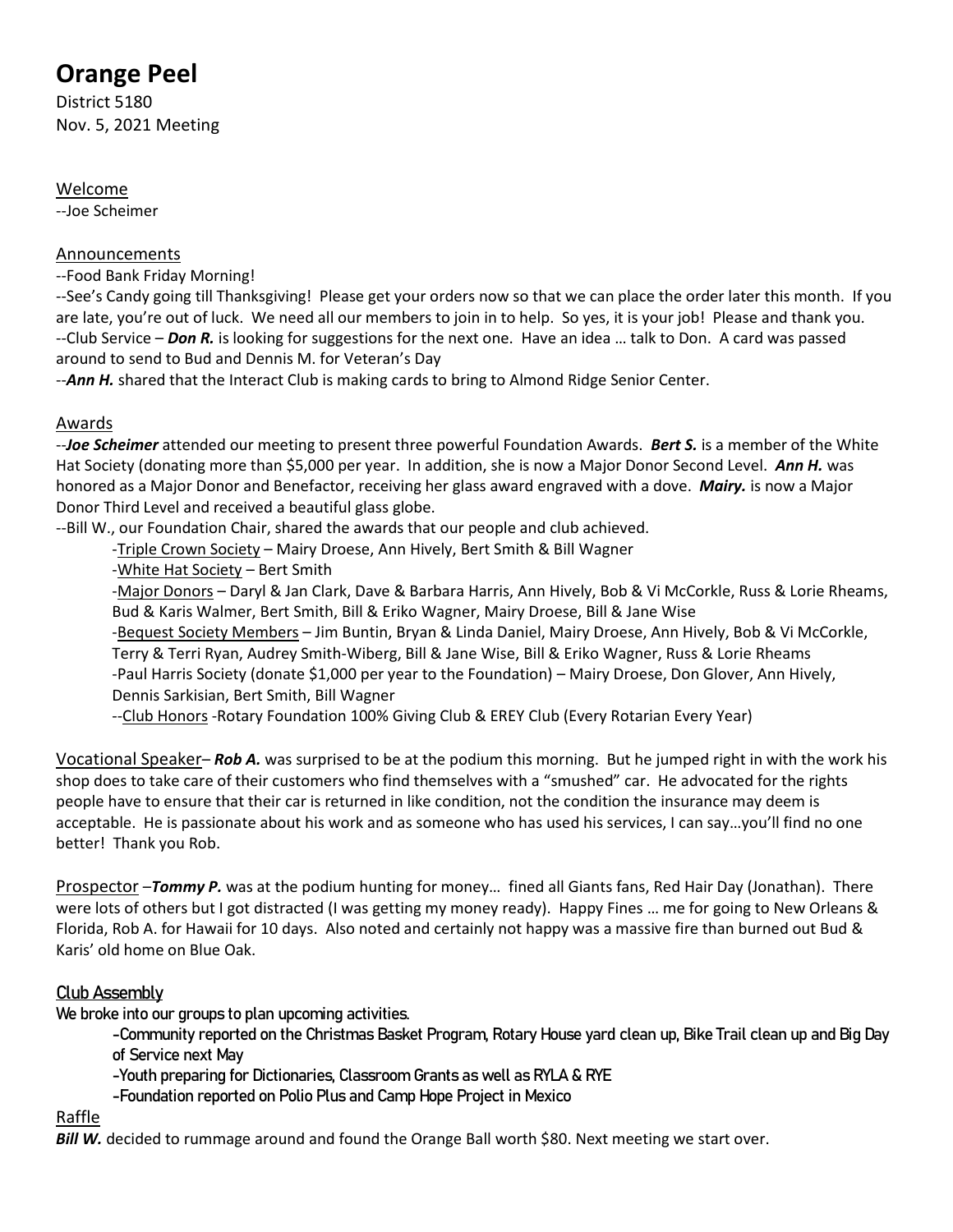# **Orange Peel**

District 5180 Nov. 5, 2021 Meeting

## Welcome

--Joe Scheimer

### Announcements

--Food Bank Friday Morning!

--See's Candy going till Thanksgiving! Please get your orders now so that we can place the order later this month. If you are late, you're out of luck. We need all our members to join in to help. So yes, it is your job! Please and thank you. --Club Service – *Don R.* is looking for suggestions for the next one. Have an idea … talk to Don. A card was passed around to send to Bud and Dennis M. for Veteran's Day

--*Ann H.* shared that the Interact Club is making cards to bring to Almond Ridge Senior Center.

# Awards

--*Joe Scheimer* attended our meeting to present three powerful Foundation Awards. *Bert S.* is a member of the White Hat Society (donating more than \$5,000 per year. In addition, she is now a Major Donor Second Level. *Ann H.* was honored as a Major Donor and Benefactor, receiving her glass award engraved with a dove. *Mairy.* is now a Major Donor Third Level and received a beautiful glass globe.

--Bill W., our Foundation Chair, shared the awards that our people and club achieved.

-Triple Crown Society – Mairy Droese, Ann Hively, Bert Smith & Bill Wagner

-White Hat Society - Bert Smith

-Major Donors – Daryl & Jan Clark, Dave & Barbara Harris, Ann Hively, Bob & Vi McCorkle, Russ & Lorie Rheams, Bud & Karis Walmer, Bert Smith, Bill & Eriko Wagner, Mairy Droese, Bill & Jane Wise

-Bequest Society Members – Jim Buntin, Bryan & Linda Daniel, Mairy Droese, Ann Hively, Bob & Vi McCorkle, Terry & Terri Ryan, Audrey Smith-Wiberg, Bill & Jane Wise, Bill & Eriko Wagner, Russ & Lorie Rheams -Paul Harris Society (donate \$1,000 per year to the Foundation) – Mairy Droese, Don Glover, Ann Hively, Dennis Sarkisian, Bert Smith, Bill Wagner

--Club Honors -Rotary Foundation 100% Giving Club & EREY Club (Every Rotarian Every Year)

Vocational Speaker– *Rob A.* was surprised to be at the podium this morning. But he jumped right in with the work his shop does to take care of their customers who find themselves with a "smushed" car. He advocated for the rights people have to ensure that their car is returned in like condition, not the condition the insurance may deem is acceptable. He is passionate about his work and as someone who has used his services, I can say…you'll find no one better! Thank you Rob.

Prospector –*Tommy P.* was at the podium hunting for money… fined all Giants fans, Red Hair Day (Jonathan). There were lots of others but I got distracted (I was getting my money ready). Happy Fines … me for going to New Orleans & Florida, Rob A. for Hawaii for 10 days. Also noted and certainly not happy was a massive fire than burned out Bud & Karis' old home on Blue Oak.

# Club Assembly

We broke into our groups to plan upcoming activities.

-Community reported on the Christmas Basket Program, Rotary House yard clean up, Bike Trail clean up and Big Day of Service next May

-Youth preparing for Dictionaries, Classroom Grants as well as RYLA & RYE

-Foundation reported on Polio Plus and Camp Hope Project in Mexico

# Raffle

*Bill W.* decided to rummage around and found the Orange Ball worth \$80. Next meeting we start over.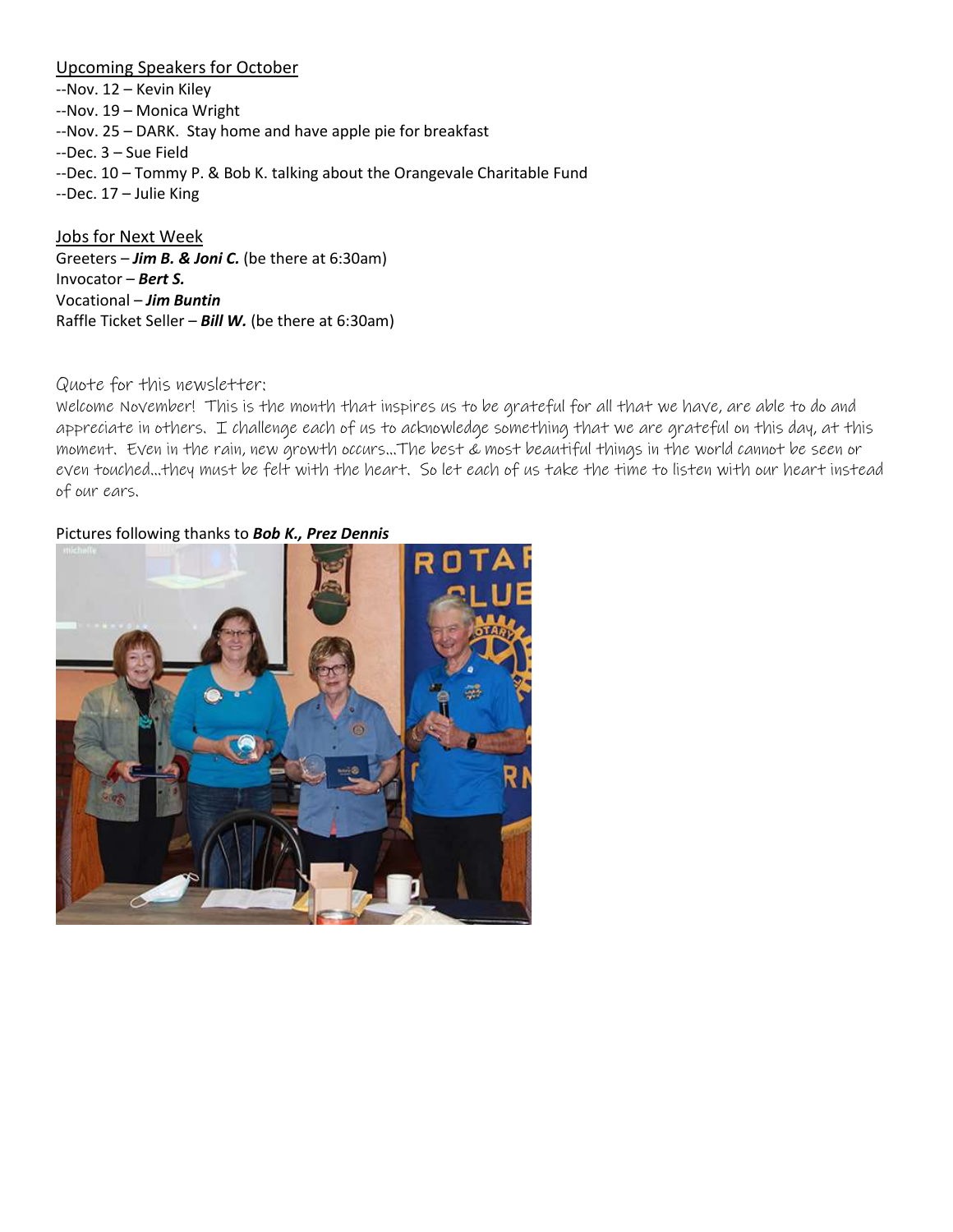#### Upcoming Speakers for October

--Nov. 12 – Kevin Kiley --Nov. 19 – Monica Wright --Nov. 25 – DARK. Stay home and have apple pie for breakfast --Dec. 3 – Sue Field --Dec. 10 – Tommy P. & Bob K. talking about the Orangevale Charitable Fund --Dec. 17 – Julie King

Jobs for Next Week Greeters – *Jim B. & Joni C.* (be there at 6:30am) Invocator – *Bert S.* Vocational – *Jim Buntin* Raffle Ticket Seller – *Bill W.* (be there at 6:30am)

#### Quote for this newsletter:

Welcome November! This is the month that inspires us to be grateful for all that we have, are able to do and appreciate in others. I challenge each of us to acknowledge something that we are grateful on this day, at this moment. Even in the rain, new growth occurs…The best & most beautiful things in the world cannot be seen or even touched…they must be felt with the heart. So let each of us take the time to listen with our heart instead of our ears.

#### Pictures following thanks to *Bob K., Prez Dennis*

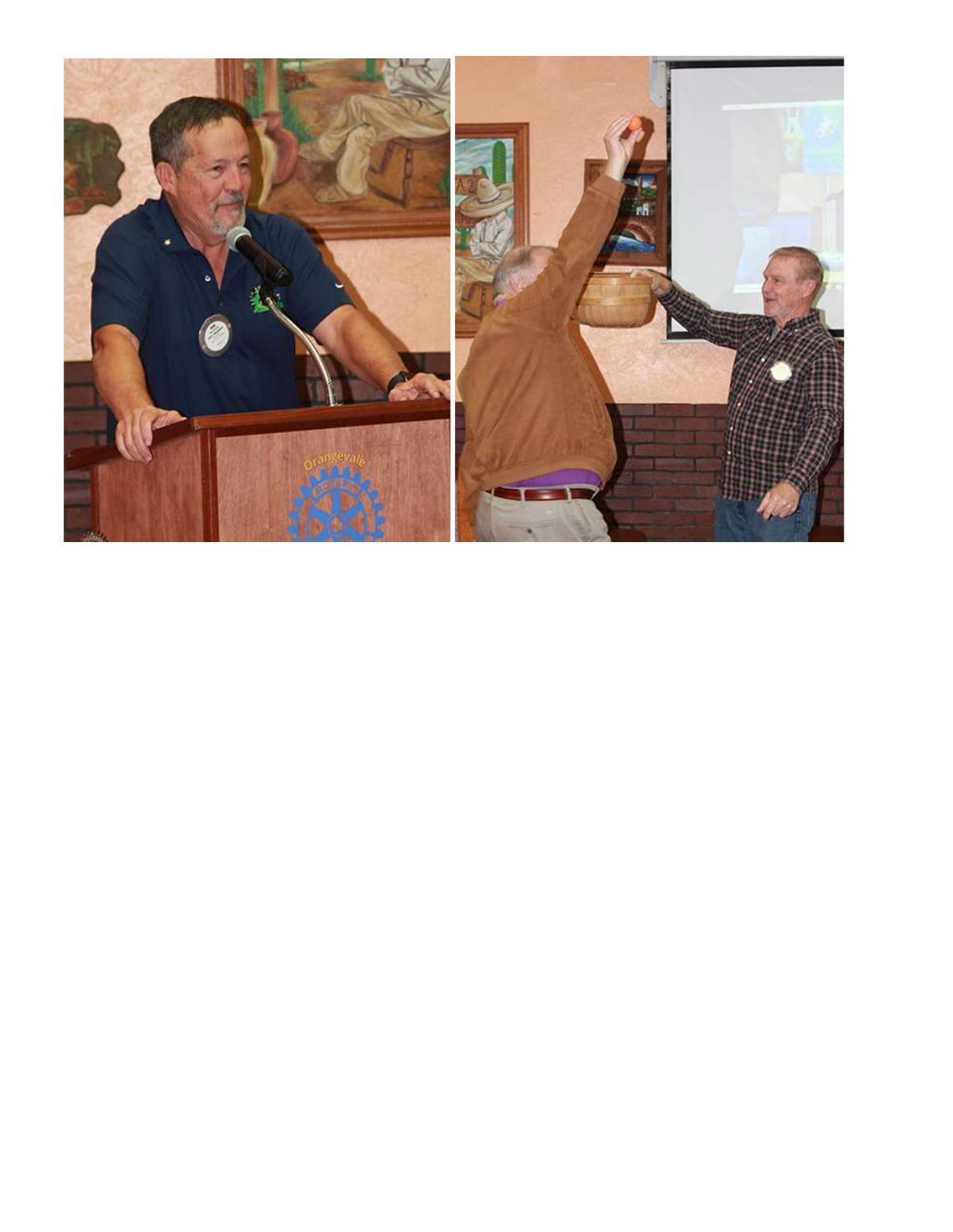